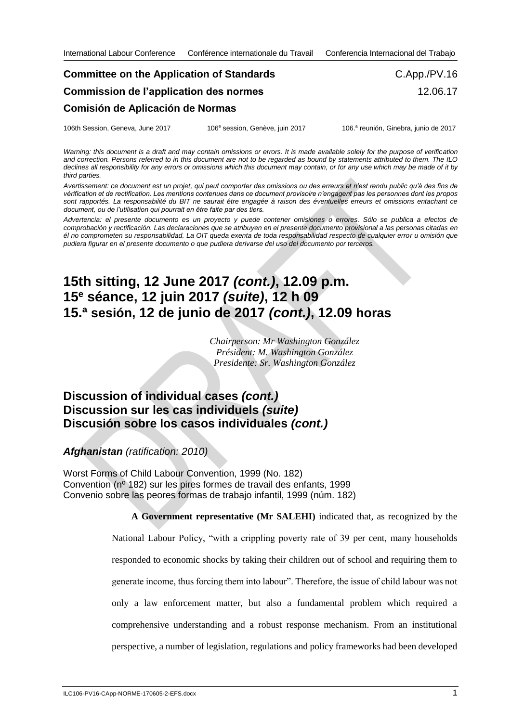## **Committee on the Application of Standards Commission de l'application des normes Comisión de Aplicación de Normas** C.App./PV.16 12.06.17

| 106th Session, Geneva, June 2017 | 106 <sup>e</sup> session, Genève, juin 2017 | 106.ª reunión, Ginebra, junio de 2017 |
|----------------------------------|---------------------------------------------|---------------------------------------|
|----------------------------------|---------------------------------------------|---------------------------------------|

*Warning: this document is a draft and may contain omissions or errors. It is made available solely for the purpose of verification and correction. Persons referred to in this document are not to be regarded as bound by statements attributed to them. The ILO declines all responsibility for any errors or omissions which this document may contain, or for any use which may be made of it by third parties.*

*Avertissement: ce document est un projet, qui peut comporter des omissions ou des erreurs et n'est rendu public qu'à des fins de vérification et de rectification. Les mentions contenues dans ce document provisoire n'engagent pas les personnes dont les propos sont rapportés. La responsabilité du BIT ne saurait être engagée à raison des éventuelles erreurs et omissions entachant ce document, ou de l'utilisation qui pourrait en être faite par des tiers.*

*Advertencia: el presente documento es un proyecto y puede contener omisiones o errores. Sólo se publica a efectos de comprobación y rectificación. Las declaraciones que se atribuyen en el presente documento provisional a las personas citadas en él no comprometen su responsabilidad. La OIT queda exenta de toda responsabilidad respecto de cualquier error u omisión que pudiera figurar en el presente documento o que pudiera derivarse del uso del documento por terceros.*

## **15th sitting, 12 June 2017** *(cont.)***, 12.09 p.m. 15<sup>e</sup> séance, 12 juin 2017** *(suite)***, 12 h 09 15.ª sesión, 12 de junio de 2017** *(cont.)***, 12.09 horas**

*Chairperson: Mr Washington González Président: M. Washington González Presidente: Sr. Washington González*

## **Discussion of individual cases** *(cont.)* **Discussion sur les cas individuels** *(suite)* **Discusión sobre los casos individuales** *(cont.)*

*Afghanistan (ratification: 2010)*

Worst Forms of Child Labour Convention, 1999 (No. 182) Convention (nº 182) sur les pires formes de travail des enfants, 1999 Convenio sobre las peores formas de trabajo infantil, 1999 (núm. 182)

> **A Government representative (Mr SALEHI)** indicated that, as recognized by the National Labour Policy, "with a crippling poverty rate of 39 per cent, many households responded to economic shocks by taking their children out of school and requiring them to generate income, thus forcing them into labour". Therefore, the issue of child labour was not only a law enforcement matter, but also a fundamental problem which required a comprehensive understanding and a robust response mechanism. From an institutional perspective, a number of legislation, regulations and policy frameworks had been developed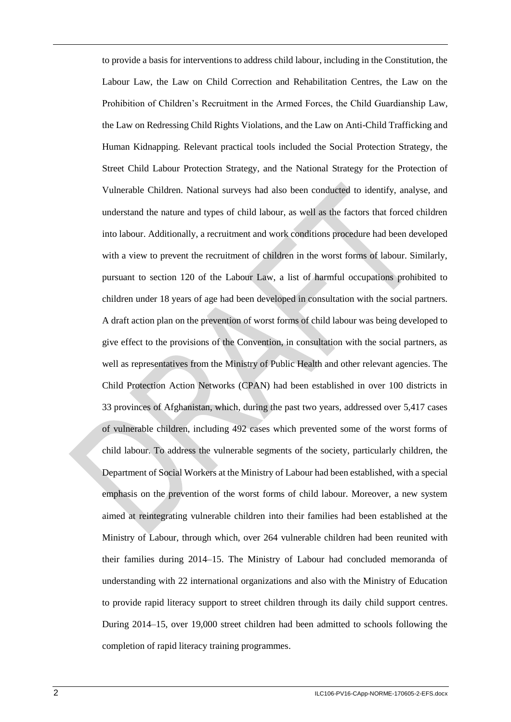to provide a basis for interventions to address child labour, including in the Constitution, the Labour Law, the Law on Child Correction and Rehabilitation Centres, the Law on the Prohibition of Children's Recruitment in the Armed Forces, the Child Guardianship Law, the Law on Redressing Child Rights Violations, and the Law on Anti-Child Trafficking and Human Kidnapping. Relevant practical tools included the Social Protection Strategy, the Street Child Labour Protection Strategy, and the National Strategy for the Protection of Vulnerable Children. National surveys had also been conducted to identify, analyse, and understand the nature and types of child labour, as well as the factors that forced children into labour. Additionally, a recruitment and work conditions procedure had been developed with a view to prevent the recruitment of children in the worst forms of labour. Similarly, pursuant to section 120 of the Labour Law, a list of harmful occupations prohibited to children under 18 years of age had been developed in consultation with the social partners. A draft action plan on the prevention of worst forms of child labour was being developed to give effect to the provisions of the Convention, in consultation with the social partners, as well as representatives from the Ministry of Public Health and other relevant agencies. The Child Protection Action Networks (CPAN) had been established in over 100 districts in 33 provinces of Afghanistan, which, during the past two years, addressed over 5,417 cases of vulnerable children, including 492 cases which prevented some of the worst forms of child labour. To address the vulnerable segments of the society, particularly children, the Department of Social Workers at the Ministry of Labour had been established, with a special emphasis on the prevention of the worst forms of child labour. Moreover, a new system aimed at reintegrating vulnerable children into their families had been established at the Ministry of Labour, through which, over 264 vulnerable children had been reunited with their families during 2014–15. The Ministry of Labour had concluded memoranda of understanding with 22 international organizations and also with the Ministry of Education to provide rapid literacy support to street children through its daily child support centres. During 2014–15, over 19,000 street children had been admitted to schools following the completion of rapid literacy training programmes.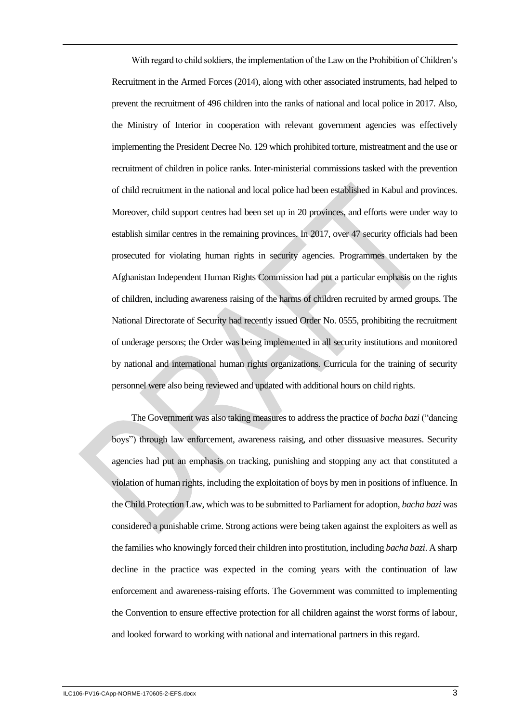With regard to child soldiers, the implementation of the Law on the Prohibition of Children's Recruitment in the Armed Forces (2014), along with other associated instruments, had helped to prevent the recruitment of 496 children into the ranks of national and local police in 2017. Also, the Ministry of Interior in cooperation with relevant government agencies was effectively implementing the President Decree No. 129 which prohibited torture, mistreatment and the use or recruitment of children in police ranks. Inter-ministerial commissions tasked with the prevention of child recruitment in the national and local police had been established in Kabul and provinces. Moreover, child support centres had been set up in 20 provinces, and efforts were under way to establish similar centres in the remaining provinces. In 2017, over 47 security officials had been prosecuted for violating human rights in security agencies. Programmes undertaken by the Afghanistan Independent Human Rights Commission had put a particular emphasis on the rights of children, including awareness raising of the harms of children recruited by armed groups. The National Directorate of Security had recently issued Order No. 0555, prohibiting the recruitment of underage persons; the Order was being implemented in all security institutions and monitored by national and international human rights organizations. Curricula for the training of security personnel were also being reviewed and updated with additional hours on child rights.

The Government was also taking measures to address the practice of *bacha bazi* ("dancing boys") through law enforcement, awareness raising, and other dissuasive measures. Security agencies had put an emphasis on tracking, punishing and stopping any act that constituted a violation of human rights, including the exploitation of boys by men in positions of influence. In the Child Protection Law, which was to be submitted to Parliament for adoption, *bacha bazi* was considered a punishable crime. Strong actions were being taken against the exploiters as well as the families who knowingly forced their children into prostitution, including *bacha bazi*. A sharp decline in the practice was expected in the coming years with the continuation of law enforcement and awareness-raising efforts. The Government was committed to implementing the Convention to ensure effective protection for all children against the worst forms of labour, and looked forward to working with national and international partners in this regard.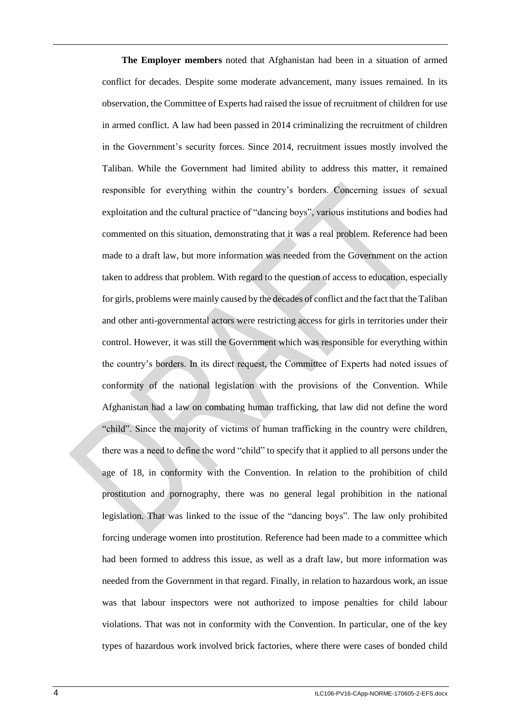**The Employer members** noted that Afghanistan had been in a situation of armed conflict for decades. Despite some moderate advancement, many issues remained. In its observation, the Committee of Experts had raised the issue of recruitment of children for use in armed conflict. A law had been passed in 2014 criminalizing the recruitment of children in the Government's security forces. Since 2014, recruitment issues mostly involved the Taliban. While the Government had limited ability to address this matter, it remained responsible for everything within the country's borders. Concerning issues of sexual exploitation and the cultural practice of "dancing boys", various institutions and bodies had commented on this situation, demonstrating that it was a real problem. Reference had been made to a draft law, but more information was needed from the Government on the action taken to address that problem. With regard to the question of access to education, especially for girls, problems were mainly caused by the decades of conflict and the fact that the Taliban and other anti-governmental actors were restricting access for girls in territories under their control. However, it was still the Government which was responsible for everything within the country's borders. In its direct request, the Committee of Experts had noted issues of conformity of the national legislation with the provisions of the Convention. While Afghanistan had a law on combating human trafficking, that law did not define the word "child". Since the majority of victims of human trafficking in the country were children, there was a need to define the word "child" to specify that it applied to all persons under the age of 18, in conformity with the Convention. In relation to the prohibition of child prostitution and pornography, there was no general legal prohibition in the national legislation. That was linked to the issue of the "dancing boys". The law only prohibited forcing underage women into prostitution. Reference had been made to a committee which had been formed to address this issue, as well as a draft law, but more information was needed from the Government in that regard. Finally, in relation to hazardous work, an issue was that labour inspectors were not authorized to impose penalties for child labour violations. That was not in conformity with the Convention. In particular, one of the key types of hazardous work involved brick factories, where there were cases of bonded child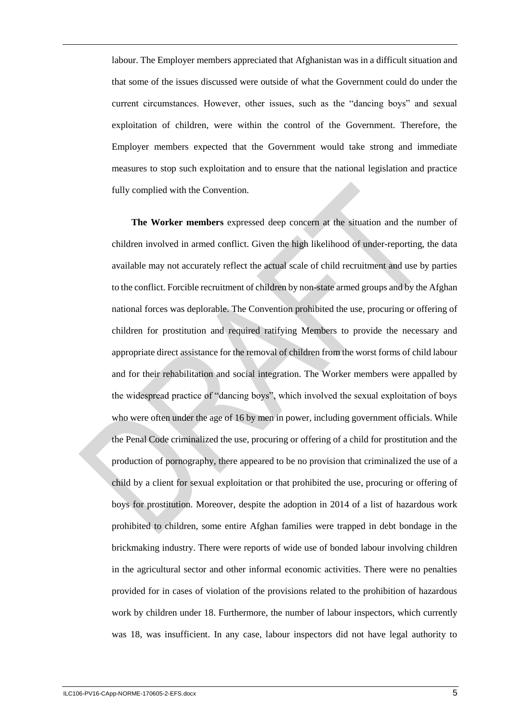labour. The Employer members appreciated that Afghanistan was in a difficult situation and that some of the issues discussed were outside of what the Government could do under the current circumstances. However, other issues, such as the "dancing boys" and sexual exploitation of children, were within the control of the Government. Therefore, the Employer members expected that the Government would take strong and immediate measures to stop such exploitation and to ensure that the national legislation and practice fully complied with the Convention.

**The Worker members** expressed deep concern at the situation and the number of children involved in armed conflict. Given the high likelihood of under-reporting, the data available may not accurately reflect the actual scale of child recruitment and use by parties to the conflict. Forcible recruitment of children by non-state armed groups and by the Afghan national forces was deplorable. The Convention prohibited the use, procuring or offering of children for prostitution and required ratifying Members to provide the necessary and appropriate direct assistance for the removal of children from the worst forms of child labour and for their rehabilitation and social integration. The Worker members were appalled by the widespread practice of "dancing boys", which involved the sexual exploitation of boys who were often under the age of 16 by men in power, including government officials. While the Penal Code criminalized the use, procuring or offering of a child for prostitution and the production of pornography, there appeared to be no provision that criminalized the use of a child by a client for sexual exploitation or that prohibited the use, procuring or offering of boys for prostitution. Moreover, despite the adoption in 2014 of a list of hazardous work prohibited to children, some entire Afghan families were trapped in debt bondage in the brickmaking industry. There were reports of wide use of bonded labour involving children in the agricultural sector and other informal economic activities. There were no penalties provided for in cases of violation of the provisions related to the prohibition of hazardous work by children under 18. Furthermore, the number of labour inspectors, which currently was 18, was insufficient. In any case, labour inspectors did not have legal authority to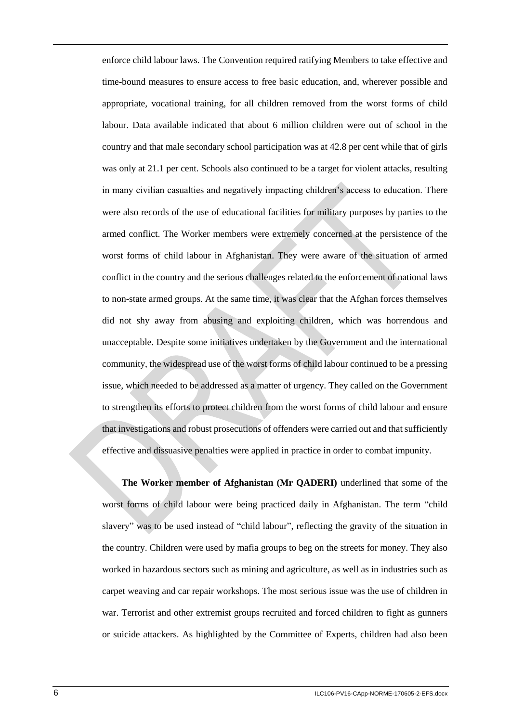enforce child labour laws. The Convention required ratifying Members to take effective and time-bound measures to ensure access to free basic education, and, wherever possible and appropriate, vocational training, for all children removed from the worst forms of child labour. Data available indicated that about 6 million children were out of school in the country and that male secondary school participation was at 42.8 per cent while that of girls was only at 21.1 per cent. Schools also continued to be a target for violent attacks, resulting in many civilian casualties and negatively impacting children's access to education. There were also records of the use of educational facilities for military purposes by parties to the armed conflict. The Worker members were extremely concerned at the persistence of the worst forms of child labour in Afghanistan. They were aware of the situation of armed conflict in the country and the serious challenges related to the enforcement of national laws to non-state armed groups. At the same time, it was clear that the Afghan forces themselves did not shy away from abusing and exploiting children, which was horrendous and unacceptable. Despite some initiatives undertaken by the Government and the international community, the widespread use of the worst forms of child labour continued to be a pressing issue, which needed to be addressed as a matter of urgency. They called on the Government to strengthen its efforts to protect children from the worst forms of child labour and ensure that investigations and robust prosecutions of offenders were carried out and that sufficiently effective and dissuasive penalties were applied in practice in order to combat impunity.

**The Worker member of Afghanistan (Mr QADERI)** underlined that some of the worst forms of child labour were being practiced daily in Afghanistan. The term "child slavery" was to be used instead of "child labour", reflecting the gravity of the situation in the country. Children were used by mafia groups to beg on the streets for money. They also worked in hazardous sectors such as mining and agriculture, as well as in industries such as carpet weaving and car repair workshops. The most serious issue was the use of children in war. Terrorist and other extremist groups recruited and forced children to fight as gunners or suicide attackers. As highlighted by the Committee of Experts, children had also been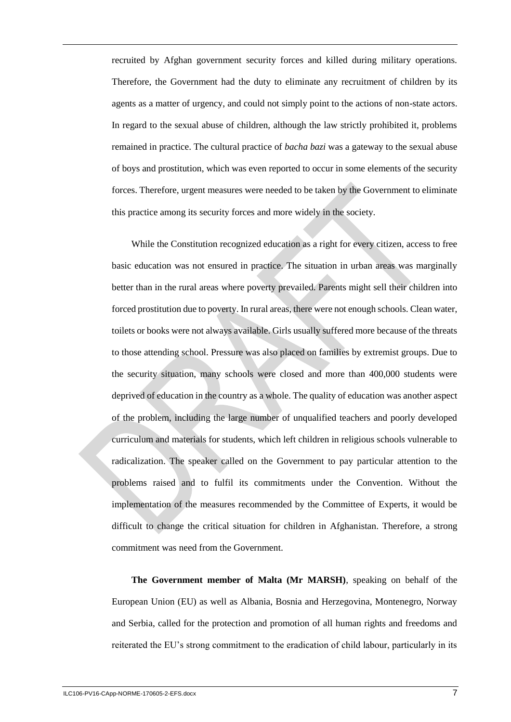recruited by Afghan government security forces and killed during military operations. Therefore, the Government had the duty to eliminate any recruitment of children by its agents as a matter of urgency, and could not simply point to the actions of non-state actors. In regard to the sexual abuse of children, although the law strictly prohibited it, problems remained in practice. The cultural practice of *bacha bazi* was a gateway to the sexual abuse of boys and prostitution, which was even reported to occur in some elements of the security forces. Therefore, urgent measures were needed to be taken by the Government to eliminate this practice among its security forces and more widely in the society.

While the Constitution recognized education as a right for every citizen, access to free basic education was not ensured in practice. The situation in urban areas was marginally better than in the rural areas where poverty prevailed. Parents might sell their children into forced prostitution due to poverty. In rural areas, there were not enough schools. Clean water, toilets or books were not always available. Girls usually suffered more because of the threats to those attending school. Pressure was also placed on families by extremist groups. Due to the security situation, many schools were closed and more than 400,000 students were deprived of education in the country as a whole. The quality of education was another aspect of the problem, including the large number of unqualified teachers and poorly developed curriculum and materials for students, which left children in religious schools vulnerable to radicalization. The speaker called on the Government to pay particular attention to the problems raised and to fulfil its commitments under the Convention. Without the implementation of the measures recommended by the Committee of Experts, it would be difficult to change the critical situation for children in Afghanistan. Therefore, a strong commitment was need from the Government.

**The Government member of Malta (Mr MARSH)**, speaking on behalf of the European Union (EU) as well as Albania, Bosnia and Herzegovina, Montenegro, Norway and Serbia, called for the protection and promotion of all human rights and freedoms and reiterated the EU's strong commitment to the eradication of child labour, particularly in its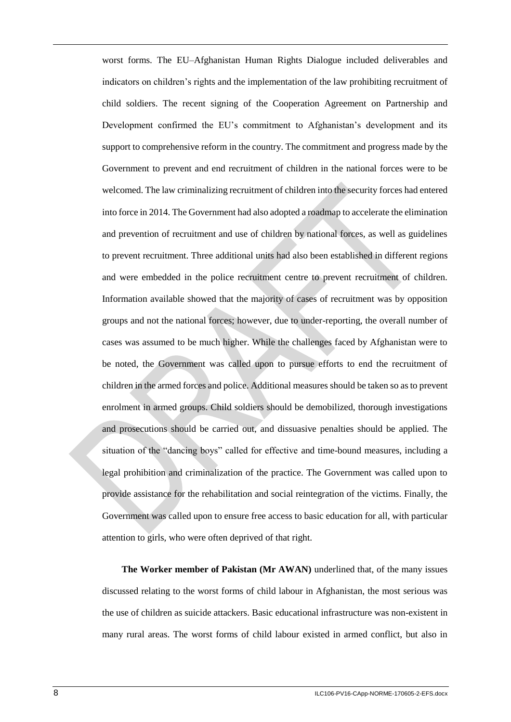worst forms. The EU–Afghanistan Human Rights Dialogue included deliverables and indicators on children's rights and the implementation of the law prohibiting recruitment of child soldiers. The recent signing of the Cooperation Agreement on Partnership and Development confirmed the EU's commitment to Afghanistan's development and its support to comprehensive reform in the country. The commitment and progress made by the Government to prevent and end recruitment of children in the national forces were to be welcomed. The law criminalizing recruitment of children into the security forces had entered into force in 2014. The Government had also adopted a roadmap to accelerate the elimination and prevention of recruitment and use of children by national forces, as well as guidelines to prevent recruitment. Three additional units had also been established in different regions and were embedded in the police recruitment centre to prevent recruitment of children. Information available showed that the majority of cases of recruitment was by opposition groups and not the national forces; however, due to under-reporting, the overall number of cases was assumed to be much higher. While the challenges faced by Afghanistan were to be noted, the Government was called upon to pursue efforts to end the recruitment of children in the armed forces and police. Additional measures should be taken so as to prevent enrolment in armed groups. Child soldiers should be demobilized, thorough investigations and prosecutions should be carried out, and dissuasive penalties should be applied. The situation of the "dancing boys" called for effective and time-bound measures, including a legal prohibition and criminalization of the practice. The Government was called upon to provide assistance for the rehabilitation and social reintegration of the victims. Finally, the Government was called upon to ensure free access to basic education for all, with particular attention to girls, who were often deprived of that right.

**The Worker member of Pakistan (Mr AWAN)** underlined that, of the many issues discussed relating to the worst forms of child labour in Afghanistan, the most serious was the use of children as suicide attackers. Basic educational infrastructure was non-existent in many rural areas. The worst forms of child labour existed in armed conflict, but also in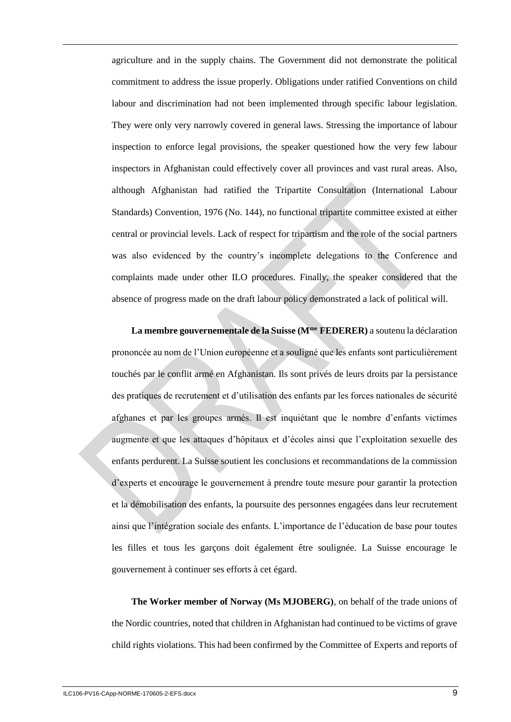agriculture and in the supply chains. The Government did not demonstrate the political commitment to address the issue properly. Obligations under ratified Conventions on child labour and discrimination had not been implemented through specific labour legislation. They were only very narrowly covered in general laws. Stressing the importance of labour inspection to enforce legal provisions, the speaker questioned how the very few labour inspectors in Afghanistan could effectively cover all provinces and vast rural areas. Also, although Afghanistan had ratified the Tripartite Consultation (International Labour Standards) Convention, 1976 (No. 144), no functional tripartite committee existed at either central or provincial levels. Lack of respect for tripartism and the role of the social partners was also evidenced by the country's incomplete delegations to the Conference and complaints made under other ILO procedures. Finally, the speaker considered that the absence of progress made on the draft labour policy demonstrated a lack of political will.

**La membre gouvernementale de la Suisse (Mme FEDERER)** a soutenu la déclaration prononcée au nom de l'Union européenne et a souligné que les enfants sont particulièrement touchés par le conflit armé en Afghanistan. Ils sont privés de leurs droits par la persistance des pratiques de recrutement et d'utilisation des enfants par les forces nationales de sécurité afghanes et par les groupes armés. Il est inquiétant que le nombre d'enfants victimes augmente et que les attaques d'hôpitaux et d'écoles ainsi que l'exploitation sexuelle des enfants perdurent. La Suisse soutient les conclusions et recommandations de la commission d'experts et encourage le gouvernement à prendre toute mesure pour garantir la protection et la démobilisation des enfants, la poursuite des personnes engagées dans leur recrutement ainsi que l'intégration sociale des enfants. L'importance de l'éducation de base pour toutes les filles et tous les garçons doit également être soulignée. La Suisse encourage le gouvernement à continuer ses efforts à cet égard.

**The Worker member of Norway (Ms MJOBERG)**, on behalf of the trade unions of the Nordic countries, noted that children in Afghanistan had continued to be victims of grave child rights violations. This had been confirmed by the Committee of Experts and reports of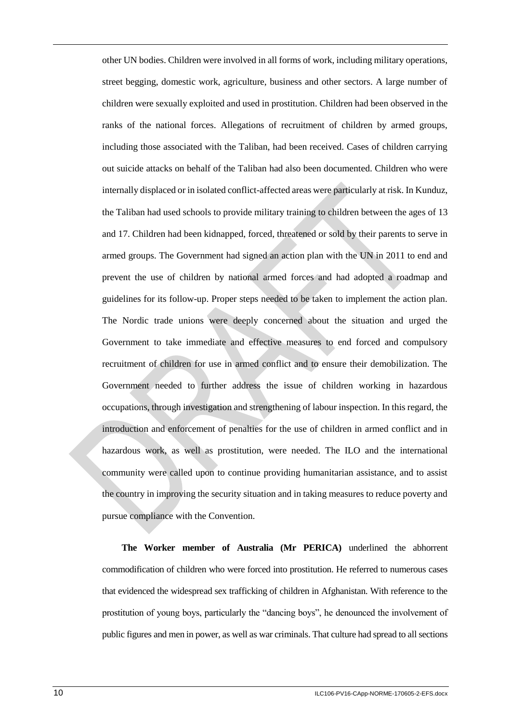other UN bodies. Children were involved in all forms of work, including military operations, street begging, domestic work, agriculture, business and other sectors. A large number of children were sexually exploited and used in prostitution. Children had been observed in the ranks of the national forces. Allegations of recruitment of children by armed groups, including those associated with the Taliban, had been received. Cases of children carrying out suicide attacks on behalf of the Taliban had also been documented. Children who were internally displaced or in isolated conflict-affected areas were particularly at risk. In Kunduz, the Taliban had used schools to provide military training to children between the ages of 13 and 17. Children had been kidnapped, forced, threatened or sold by their parents to serve in armed groups. The Government had signed an action plan with the UN in 2011 to end and prevent the use of children by national armed forces and had adopted a roadmap and guidelines for its follow-up. Proper steps needed to be taken to implement the action plan. The Nordic trade unions were deeply concerned about the situation and urged the Government to take immediate and effective measures to end forced and compulsory recruitment of children for use in armed conflict and to ensure their demobilization. The Government needed to further address the issue of children working in hazardous occupations, through investigation and strengthening of labour inspection. In this regard, the introduction and enforcement of penalties for the use of children in armed conflict and in hazardous work, as well as prostitution, were needed. The ILO and the international community were called upon to continue providing humanitarian assistance, and to assist the country in improving the security situation and in taking measures to reduce poverty and pursue compliance with the Convention.

**The Worker member of Australia (Mr PERICA)** underlined the abhorrent commodification of children who were forced into prostitution. He referred to numerous cases that evidenced the widespread sex trafficking of children in Afghanistan. With reference to the prostitution of young boys, particularly the "dancing boys", he denounced the involvement of public figures and men in power, as well as war criminals. That culture had spread to all sections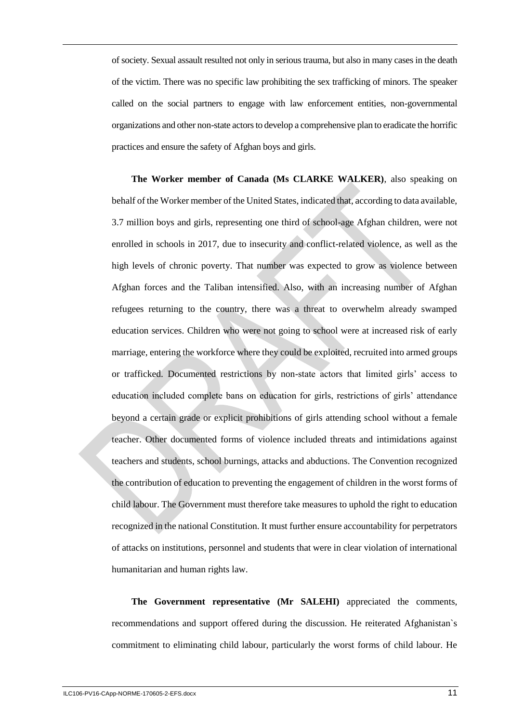of society. Sexual assault resulted not only in serious trauma, but also in many cases in the death of the victim. There was no specific law prohibiting the sex trafficking of minors. The speaker called on the social partners to engage with law enforcement entities, non-governmental organizations and other non-state actors to develop a comprehensive plan to eradicate the horrific practices and ensure the safety of Afghan boys and girls.

**The Worker member of Canada (Ms CLARKE WALKER)**, also speaking on behalf of the Worker member of the United States, indicated that, according to data available, 3.7 million boys and girls, representing one third of school-age Afghan children, were not enrolled in schools in 2017, due to insecurity and conflict-related violence, as well as the high levels of chronic poverty. That number was expected to grow as violence between Afghan forces and the Taliban intensified. Also, with an increasing number of Afghan refugees returning to the country, there was a threat to overwhelm already swamped education services. Children who were not going to school were at increased risk of early marriage, entering the workforce where they could be exploited, recruited into armed groups or trafficked. Documented restrictions by non-state actors that limited girls' access to education included complete bans on education for girls, restrictions of girls' attendance beyond a certain grade or explicit prohibitions of girls attending school without a female teacher. Other documented forms of violence included threats and intimidations against teachers and students, school burnings, attacks and abductions. The Convention recognized the contribution of education to preventing the engagement of children in the worst forms of child labour. The Government must therefore take measures to uphold the right to education recognized in the national Constitution. It must further ensure accountability for perpetrators of attacks on institutions, personnel and students that were in clear violation of international humanitarian and human rights law.

**The Government representative (Mr SALEHI)** appreciated the comments, recommendations and support offered during the discussion. He reiterated Afghanistan`s commitment to eliminating child labour, particularly the worst forms of child labour. He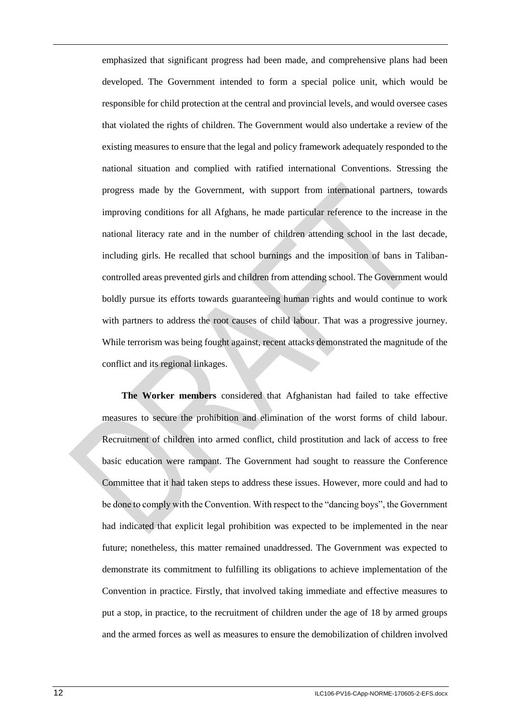emphasized that significant progress had been made, and comprehensive plans had been developed. The Government intended to form a special police unit, which would be responsible for child protection at the central and provincial levels, and would oversee cases that violated the rights of children. The Government would also undertake a review of the existing measures to ensure that the legal and policy framework adequately responded to the national situation and complied with ratified international Conventions. Stressing the progress made by the Government, with support from international partners, towards improving conditions for all Afghans, he made particular reference to the increase in the national literacy rate and in the number of children attending school in the last decade, including girls. He recalled that school burnings and the imposition of bans in Talibancontrolled areas prevented girls and children from attending school. The Government would boldly pursue its efforts towards guaranteeing human rights and would continue to work with partners to address the root causes of child labour. That was a progressive journey. While terrorism was being fought against, recent attacks demonstrated the magnitude of the conflict and its regional linkages.

**The Worker members** considered that Afghanistan had failed to take effective measures to secure the prohibition and elimination of the worst forms of child labour. Recruitment of children into armed conflict, child prostitution and lack of access to free basic education were rampant. The Government had sought to reassure the Conference Committee that it had taken steps to address these issues. However, more could and had to be done to comply with the Convention. With respect to the "dancing boys", the Government had indicated that explicit legal prohibition was expected to be implemented in the near future; nonetheless, this matter remained unaddressed. The Government was expected to demonstrate its commitment to fulfilling its obligations to achieve implementation of the Convention in practice. Firstly, that involved taking immediate and effective measures to put a stop, in practice, to the recruitment of children under the age of 18 by armed groups and the armed forces as well as measures to ensure the demobilization of children involved